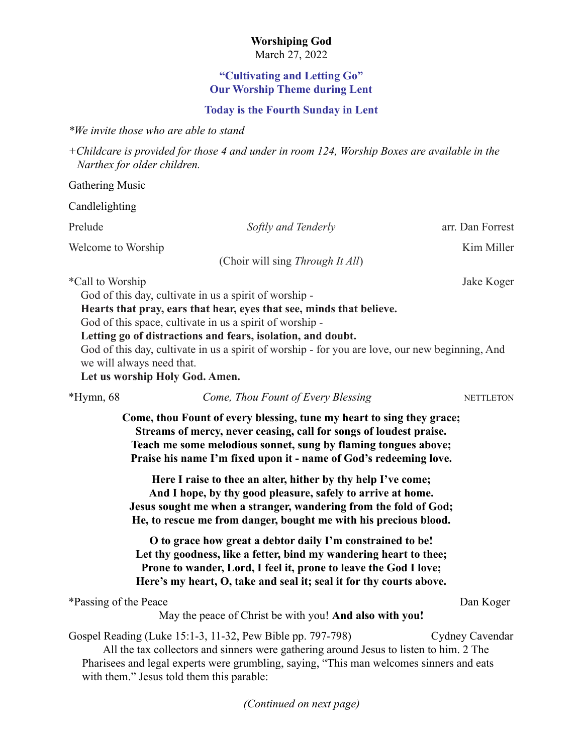# **Worshiping God**

March 27, 2022

# **"Cultivating and Letting Go" Our Worship Theme during Lent**

# **Today is the Fourth Sunday in Lent**

*\*We invite those who are able to stand*

*+Childcare is provided for those 4 and under in room 124, Worship Boxes are available in the Narthex for older children.*

Gathering Music

| Candlelighting                                         |                                                                      |                  |
|--------------------------------------------------------|----------------------------------------------------------------------|------------------|
| Prelude                                                | Softly and Tenderly                                                  | arr. Dan Forrest |
| Welcome to Worship                                     |                                                                      | Kim Miller       |
|                                                        | (Choir will sing Through It All)                                     |                  |
| *Call to Worship                                       |                                                                      | Jake Koger       |
| God of this day, cultivate in us a spirit of worship - |                                                                      |                  |
|                                                        | Hearts that pray, ears that hear, eyes that see, minds that believe. |                  |
|                                                        | God of this space, cultivate in us a spirit of worship -             |                  |
|                                                        | Letting go of distractions and fears, isolation, and doubt.          |                  |

God of this day, cultivate in us a spirit of worship - for you are love, our new beginning, And we will always need that.

**Let us worship Holy God. Amen.**

| $*Hymn, 68$           | Come, Thou Fount of Every Blessing                                                                                                                                                                                                                                                           | <b>NETTLETON</b> |
|-----------------------|----------------------------------------------------------------------------------------------------------------------------------------------------------------------------------------------------------------------------------------------------------------------------------------------|------------------|
|                       | Come, thou Fount of every blessing, tune my heart to sing they grace;<br>Streams of mercy, never ceasing, call for songs of loudest praise.<br>Teach me some melodious sonnet, sung by flaming tongues above;<br>Praise his name I'm fixed upon it - name of God's redeeming love.           |                  |
|                       | Here I raise to thee an alter, hither by thy help I've come;<br>And I hope, by thy good pleasure, safely to arrive at home.<br>Jesus sought me when a stranger, wandering from the fold of God;<br>He, to rescue me from danger, bought me with his precious blood.                          |                  |
|                       | O to grace how great a debtor daily I'm constrained to be!<br>Let thy goodness, like a fetter, bind my wandering heart to thee;<br>Prone to wander, Lord, I feel it, prone to leave the God I love;<br>Here's my heart, O, take and seal it; seal it for thy courts above.                   |                  |
| *Passing of the Peace | May the peace of Christ be with you! And also with you!                                                                                                                                                                                                                                      | Dan Koger        |
|                       | Gospel Reading (Luke 15:1-3, 11-32, Pew Bible pp. 797-798)<br>All the tax collectors and sinners were gathering around Jesus to listen to him. 2 The<br>Pharisees and legal experts were grumbling, saying, "This man welcomes sinners and eats<br>with them." Jesus told them this parable: | Cydney Cavendar  |

*(Continued on next page)*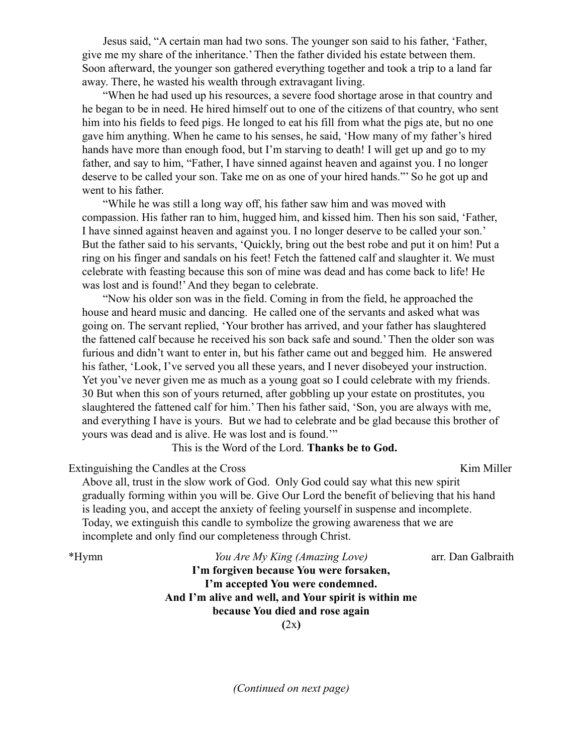Jesus said, "A certain man had two sons. The younger son said to his father, 'Father, give me my share of the inheritance.' Then the father divided his estate between them. Soon afterward, the younger son gathered everything together and took a trip to a land far away. There, he wasted his wealth through extravagant living.

"When he had used up his resources, a severe food shortage arose in that country and he began to be in need. He hired himself out to one of the citizens of that country, who sent him into his fields to feed pigs. He longed to eat his fill from what the pigs ate, but no one gave him anything. When he came to his senses, he said, 'How many of my father's hired hands have more than enough food, but I'm starving to death! I will get up and go to my father, and say to him, "Father, I have sinned against heaven and against you. I no longer deserve to be called your son. Take me on as one of your hired hands."' So he got up and went to his father.

"While he was still a long way off, his father saw him and was moved with compassion. His father ran to him, hugged him, and kissed him. Then his son said, 'Father, I have sinned against heaven and against you. I no longer deserve to be called your son.' But the father said to his servants, 'Quickly, bring out the best robe and put it on him! Put a ring on his finger and sandals on his feet! Fetch the fattened calf and slaughter it. We must celebrate with feasting because this son of mine was dead and has come back to life! He was lost and is found!'And they began to celebrate.

"Now his older son was in the field. Coming in from the field, he approached the house and heard music and dancing. He called one of the servants and asked what was going on. The servant replied, 'Your brother has arrived, and your father has slaughtered the fattened calf because he received his son back safe and sound.' Then the older son was furious and didn't want to enter in, but his father came out and begged him. He answered his father, 'Look, I've served you all these years, and I never disobeyed your instruction. Yet you've never given me as much as a young goat so I could celebrate with my friends. 30 But when this son of yours returned, after gobbling up your estate on prostitutes, you slaughtered the fattened calf for him.' Then his father said, 'Son, you are always with me, and everything I have is yours. But we had to celebrate and be glad because this brother of yours was dead and is alive. He was lost and is found.'"

This is the Word of the Lord. **Thanks be to God.**

Extinguishing the Candles at the Cross Kim Miller

Above all, trust in the slow work of God. Only God could say what this new spirit gradually forming within you will be. Give Our Lord the benefit of believing that his hand is leading you, and accept the anxiety of feeling yourself in suspense and incomplete. Today, we extinguish this candle to symbolize the growing awareness that we are incomplete and only find our completeness through Christ.

\*Hymn *You Are My King (Amazing Love)* arr. Dan Galbraith **I'm forgiven because You were forsaken, I'm accepted You were condemned. And I'm alive and well, and Your spirit is within me because You died and rose again**

**(**2x**)**

*(Continued on next page)*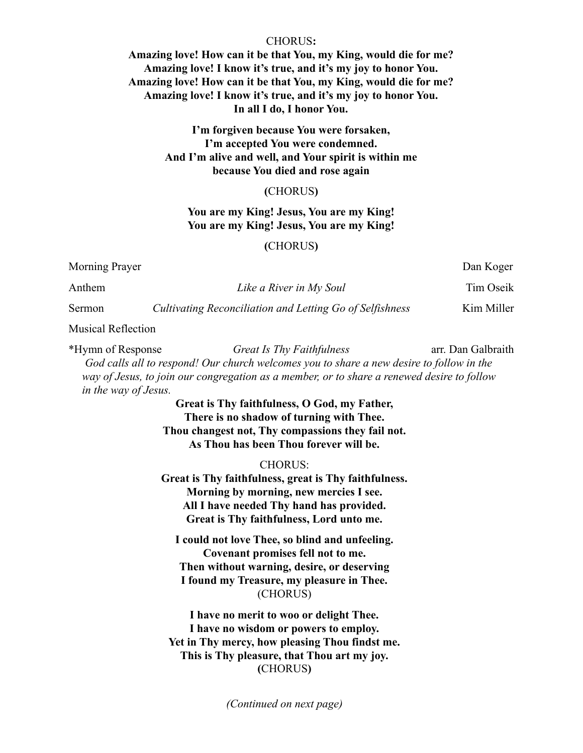#### CHORUS**:**

**Amazing love! How can it be that You, my King, would die for me? Amazing love! I know it's true, and it's my joy to honor You. Amazing love! How can it be that You, my King, would die for me? Amazing love! I know it's true, and it's my joy to honor You. In all I do, I honor You.**

> **I'm forgiven because You were forsaken, I'm accepted You were condemned. And I'm alive and well, and Your spirit is within me because You died and rose again**

#### **(**CHORUS**)**

### **You are my King! Jesus, You are my King! You are my King! Jesus, You are my King!**

**(**CHORUS**)**

| Morning Prayer                                                                                                                                                                                                                                                                                                                                                                                                                                                                    |                                                                                                                                                                                               | Dan Koger  |  |  |
|-----------------------------------------------------------------------------------------------------------------------------------------------------------------------------------------------------------------------------------------------------------------------------------------------------------------------------------------------------------------------------------------------------------------------------------------------------------------------------------|-----------------------------------------------------------------------------------------------------------------------------------------------------------------------------------------------|------------|--|--|
| Anthem                                                                                                                                                                                                                                                                                                                                                                                                                                                                            | Like a River in My Soul                                                                                                                                                                       | Tim Oseik  |  |  |
| Sermon                                                                                                                                                                                                                                                                                                                                                                                                                                                                            | Cultivating Reconciliation and Letting Go of Selfishness                                                                                                                                      | Kim Miller |  |  |
| <b>Musical Reflection</b>                                                                                                                                                                                                                                                                                                                                                                                                                                                         |                                                                                                                                                                                               |            |  |  |
| *Hymn of Response<br>Great Is Thy Faithfulness<br>arr. Dan Galbraith<br>God calls all to respond! Our church welcomes you to share a new desire to follow in the<br>way of Jesus, to join our congregation as a member, or to share a renewed desire to follow<br>in the way of Jesus.<br>Great is Thy faithfulness, O God, my Father,<br>There is no shadow of turning with Thee.<br>Thou changest not, Thy compassions they fail not.<br>As Thou has been Thou forever will be. |                                                                                                                                                                                               |            |  |  |
| <b>CHORUS:</b><br>Great is Thy faithfulness, great is Thy faithfulness.<br>Morning by morning, new mercies I see.<br>All I have needed Thy hand has provided.<br>Great is Thy faithfulness, Lord unto me.                                                                                                                                                                                                                                                                         |                                                                                                                                                                                               |            |  |  |
|                                                                                                                                                                                                                                                                                                                                                                                                                                                                                   | I could not love Thee, so blind and unfeeling.<br>Covenant promises fell not to me.<br>Then without warning, desire, or deserving<br>I found my Treasure, my pleasure in Thee.<br>(CHORUS)    |            |  |  |
|                                                                                                                                                                                                                                                                                                                                                                                                                                                                                   | I have no merit to woo or delight Thee.<br>I have no wisdom or powers to employ.<br>Yet in Thy mercy, how pleasing Thou findst me.<br>This is Thy pleasure, that Thou art my joy.<br>(CHORUS) |            |  |  |

*(Continued on next page)*